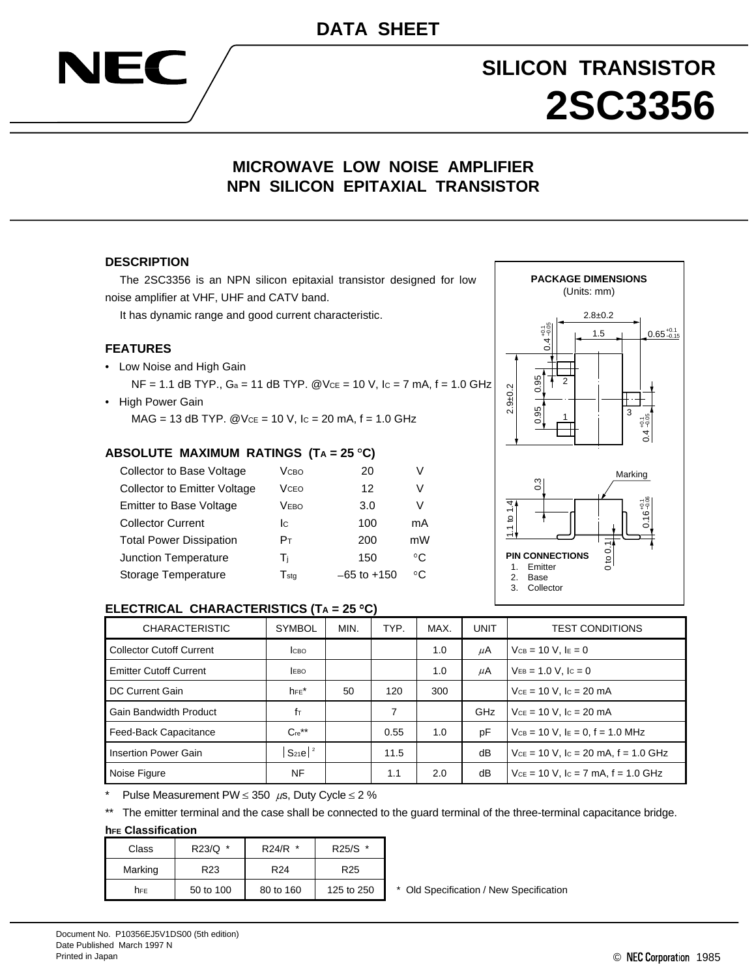# **SILICON TRANSISTOR 2SC3356**

# **MICROWAVE LOW NOISE AMPLIFIER NPN SILICON EPITAXIAL TRANSISTOR**

#### **DESCRIPTION**

NEC

The 2SC3356 is an NPN silicon epitaxial transistor designed for low noise amplifier at VHF, UHF and CATV band.

It has dynamic range and good current characteristic.

#### **FEATURES**

• Low Noise and High Gain

 $NF = 1.1$  dB TYP.,  $Ga = 11$  dB TYP.  $@Vce = 10$  V,  $lc = 7$  mA,  $f = 1.0$  GHz • High Power Gain

 $MAG = 13$  dB TYP.  $@Vce = 10$  V,  $lc = 20$  mA,  $f = 1.0$  GHz

#### **ABSOLUTE MAXIMUM RATINGS (TA = 25 C)**

| Collector to Base Voltage           | <b>V</b> <sub>CBO</sub> | 20              | V  |
|-------------------------------------|-------------------------|-----------------|----|
| <b>Collector to Emitter Voltage</b> | <b>V</b> <sub>CEO</sub> | 12              | V  |
| <b>Emitter to Base Voltage</b>      | Vево                    | 3.0             | V  |
| <b>Collector Current</b>            | Ic.                     | 100             | mA |
| <b>Total Power Dissipation</b>      | Pт                      | 200             | mW |
| Junction Temperature                | Tì                      | 150             | °C |
| Storage Temperature                 | $T_{sta}$               | $-65$ to $+150$ | °C |



#### **ELECTRICAL CHARACTERISTICS (TA = 25 C)**

| <b>CHARACTERISTIC</b>           | <b>SYMBOL</b>           | MIN. | TYP. | MAX. | UNIT       | <b>TEST CONDITIONS</b>                     |
|---------------------------------|-------------------------|------|------|------|------------|--------------------------------------------|
| <b>Collector Cutoff Current</b> | Ісво                    |      |      | 1.0  | μA         | $VCB = 10 V. IE = 0$                       |
| <b>Emitter Cutoff Current</b>   | <b>LEBO</b>             |      |      | 1.0  | μA         | $V_{EB} = 1.0 V$ , $I_c = 0$               |
| DC Current Gain                 | $h_{FE}$ *              | 50   | 120  | 300  |            | $V_{CE} = 10 V$ , $I_C = 20 mA$            |
| <b>Gain Bandwidth Product</b>   | fт                      |      | 7    |      | <b>GHz</b> | $Vce = 10 V$ , $lc = 20 mA$                |
| Feed-Back Capacitance           | $C_{\text{re}}^{**}$    |      | 0.55 | 1.0  | рF         | $V_{CB} = 10$ V, $I_E = 0$ , $f = 1.0$ MHz |
| Insertion Power Gain            | $S_{21}e^{\frac{1}{2}}$ |      | 11.5 |      | dB         | $V_{CE}$ = 10 V, lc = 20 mA, f = 1.0 GHz   |
| Noise Figure                    | NF                      |      | 1.1  | 2.0  | dB         | $V_{CE}$ = 10 V, lc = 7 mA, f = 1.0 GHz    |

Pulse Measurement PW  $\leq$  350  $\mu$ s, Duty Cycle  $\leq$  2 %

\*\* The emitter terminal and the case shall be connected to the guard terminal of the three-terminal capacitance bridge.

#### **hFE Classification**

| Class   | R23/Q *         | $R24/R$ *       | R25/S *         |
|---------|-----------------|-----------------|-----------------|
| Marking | R <sub>23</sub> | R <sub>24</sub> | R <sub>25</sub> |
| hFE     | 50 to 100       | 80 to 160       | 125 to 250      |

\* Old Specification / New Specification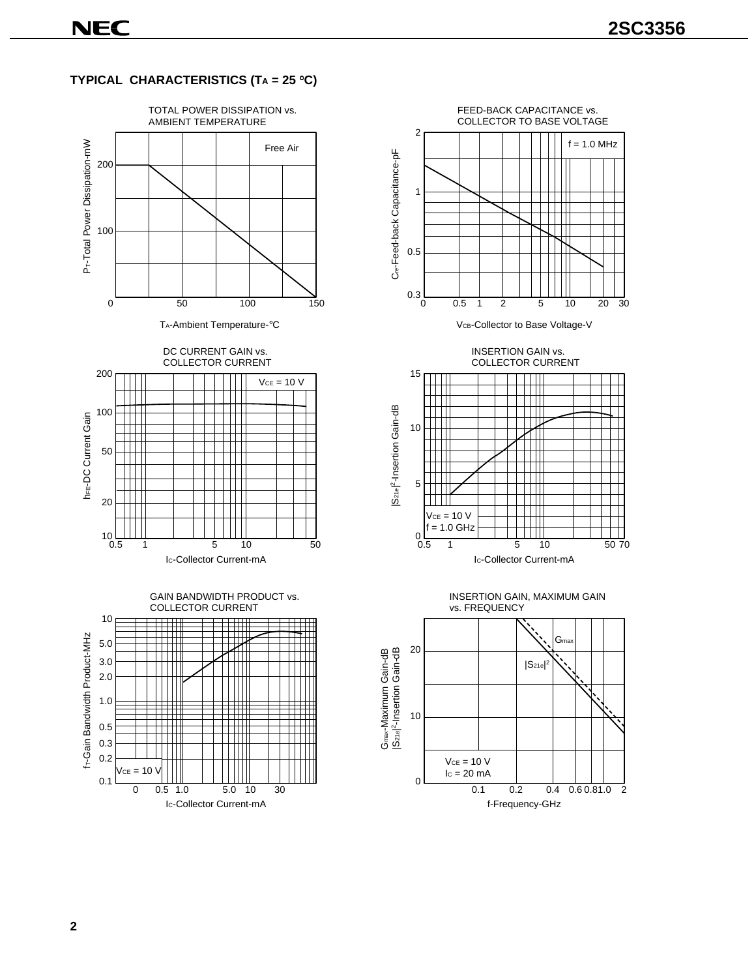### **TYPICAL CHARACTERISTICS (TA = 25 C)**







INSERTION GAIN vs. COLLECTOR CURRENT





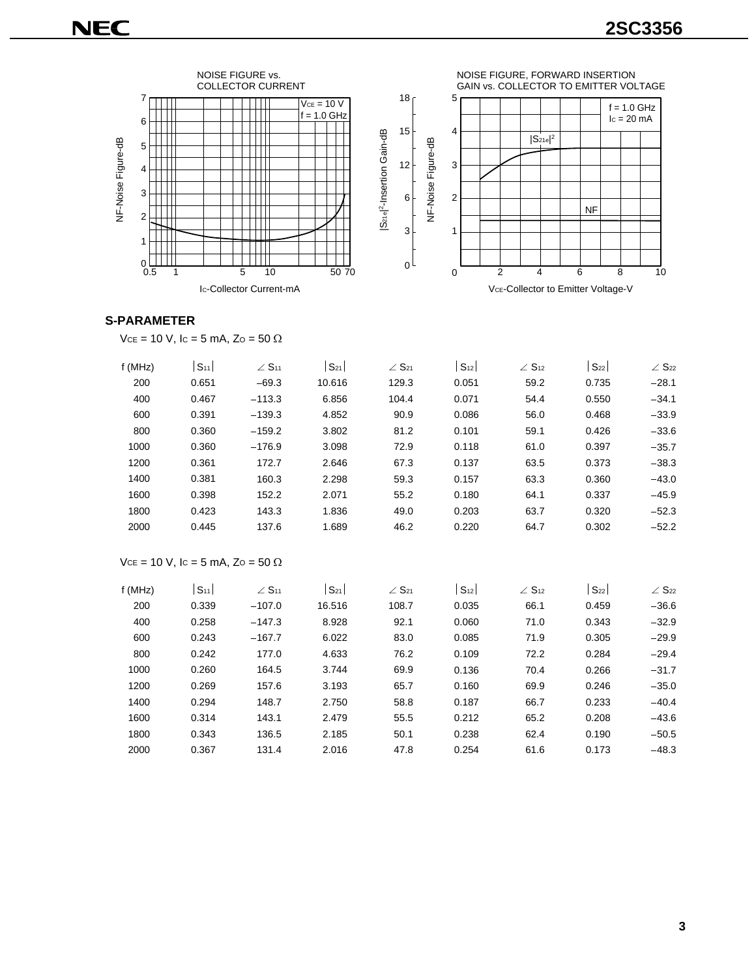

#### **S-PARAMETER**

 $VCE = 10 V$ ,  $IC = 5 mA$ ,  $ZO = 50 \Omega$ 

| f(MHz) | S <sub>11</sub> | $\angle$ S <sub>11</sub> | $S_{21}$ | $\angle$ S <sub>21</sub> | S <sub>12</sub> | $\angle$ S <sub>12</sub> | $S_{22}$ | $\angle$ S <sub>22</sub> |
|--------|-----------------|--------------------------|----------|--------------------------|-----------------|--------------------------|----------|--------------------------|
| 200    | 0.651           | $-69.3$                  | 10.616   | 129.3                    | 0.051           | 59.2                     | 0.735    | $-28.1$                  |
| 400    | 0.467           | $-113.3$                 | 6.856    | 104.4                    | 0.071           | 54.4                     | 0.550    | $-34.1$                  |
| 600    | 0.391           | $-139.3$                 | 4.852    | 90.9                     | 0.086           | 56.0                     | 0.468    | $-33.9$                  |
| 800    | 0.360           | $-159.2$                 | 3.802    | 81.2                     | 0.101           | 59.1                     | 0.426    | $-33.6$                  |
| 1000   | 0.360           | $-176.9$                 | 3.098    | 72.9                     | 0.118           | 61.0                     | 0.397    | $-35.7$                  |
| 1200   | 0.361           | 172.7                    | 2.646    | 67.3                     | 0.137           | 63.5                     | 0.373    | $-38.3$                  |
| 1400   | 0.381           | 160.3                    | 2.298    | 59.3                     | 0.157           | 63.3                     | 0.360    | $-43.0$                  |
| 1600   | 0.398           | 152.2                    | 2.071    | 55.2                     | 0.180           | 64.1                     | 0.337    | $-45.9$                  |
| 1800   | 0.423           | 143.3                    | 1.836    | 49.0                     | 0.203           | 63.7                     | 0.320    | $-52.3$                  |
| 2000   | 0.445           | 137.6                    | 1.689    | 46.2                     | 0.220           | 64.7                     | 0.302    | $-52.2$                  |
|        |                 |                          |          |                          |                 |                          |          |                          |

#### $Vce = 10 V$ ,  $lc = 5 mA$ ,  $Zo = 50 \Omega$

| f(MHz) | S <sub>11</sub> | $\angle$ S <sub>11</sub> | $S_{21}$ | $\angle$ S <sub>21</sub> | S <sub>12</sub> | $\angle$ S <sub>12</sub> | $S_{22}$ | $\angle$ S <sub>22</sub> |
|--------|-----------------|--------------------------|----------|--------------------------|-----------------|--------------------------|----------|--------------------------|
| 200    | 0.339           | $-107.0$                 | 16.516   | 108.7                    | 0.035           | 66.1                     | 0.459    | $-36.6$                  |
| 400    | 0.258           | $-147.3$                 | 8.928    | 92.1                     | 0.060           | 71.0                     | 0.343    | $-32.9$                  |
| 600    | 0.243           | $-167.7$                 | 6.022    | 83.0                     | 0.085           | 71.9                     | 0.305    | $-29.9$                  |
| 800    | 0.242           | 177.0                    | 4.633    | 76.2                     | 0.109           | 72.2                     | 0.284    | $-29.4$                  |
| 1000   | 0.260           | 164.5                    | 3.744    | 69.9                     | 0.136           | 70.4                     | 0.266    | $-31.7$                  |
| 1200   | 0.269           | 157.6                    | 3.193    | 65.7                     | 0.160           | 69.9                     | 0.246    | $-35.0$                  |
| 1400   | 0.294           | 148.7                    | 2.750    | 58.8                     | 0.187           | 66.7                     | 0.233    | $-40.4$                  |
| 1600   | 0.314           | 143.1                    | 2.479    | 55.5                     | 0.212           | 65.2                     | 0.208    | $-43.6$                  |
| 1800   | 0.343           | 136.5                    | 2.185    | 50.1                     | 0.238           | 62.4                     | 0.190    | $-50.5$                  |
| 2000   | 0.367           | 131.4                    | 2.016    | 47.8                     | 0.254           | 61.6                     | 0.173    | $-48.3$                  |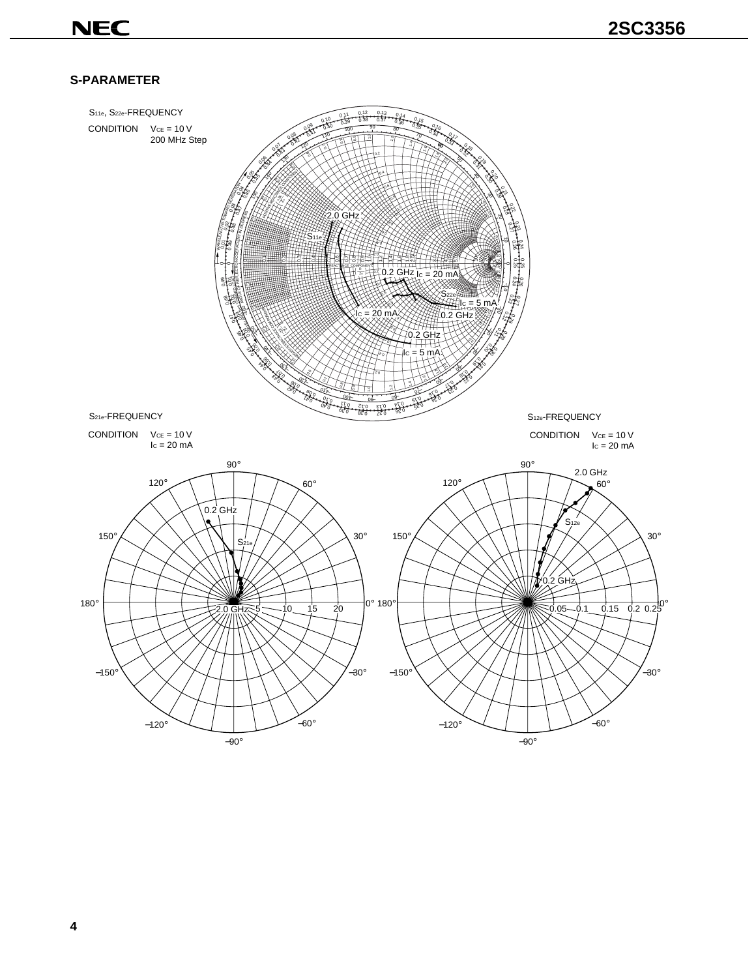## **S-PARAMETER**

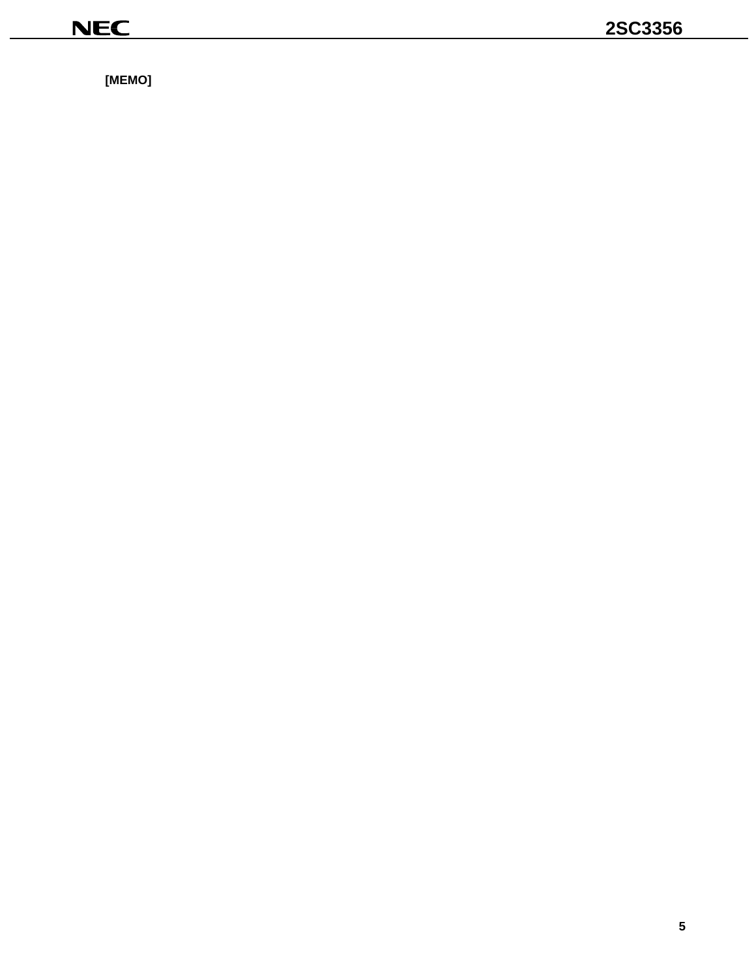$[MEMO]$ 

<u> 1980 - Jan Stein Berlin, Amerikaansk politiker (</u>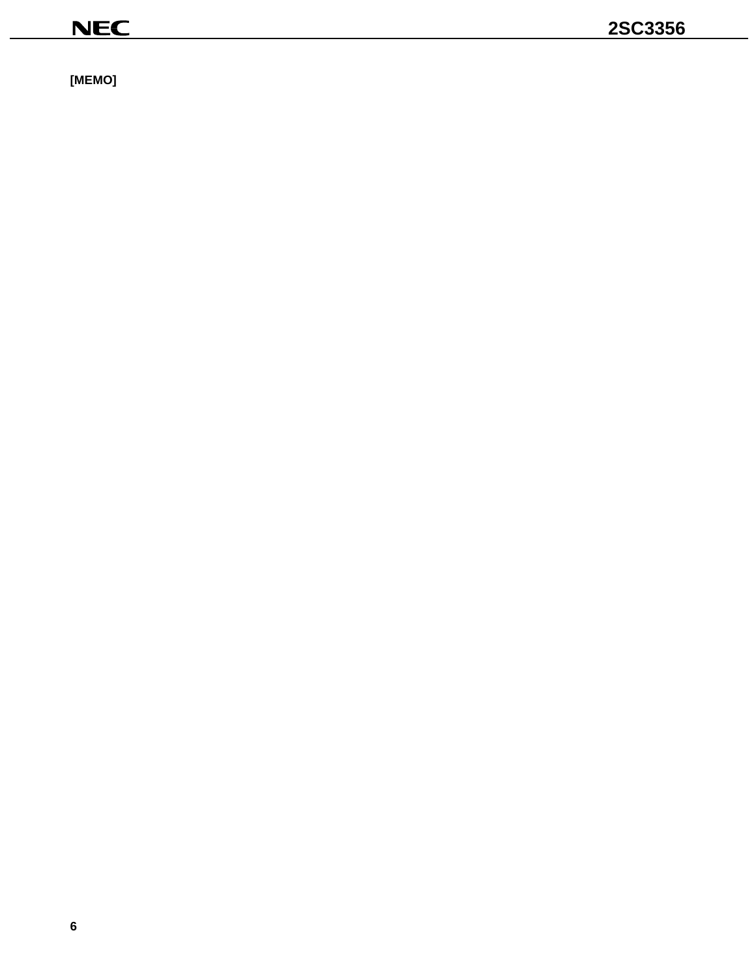$[MEMO]$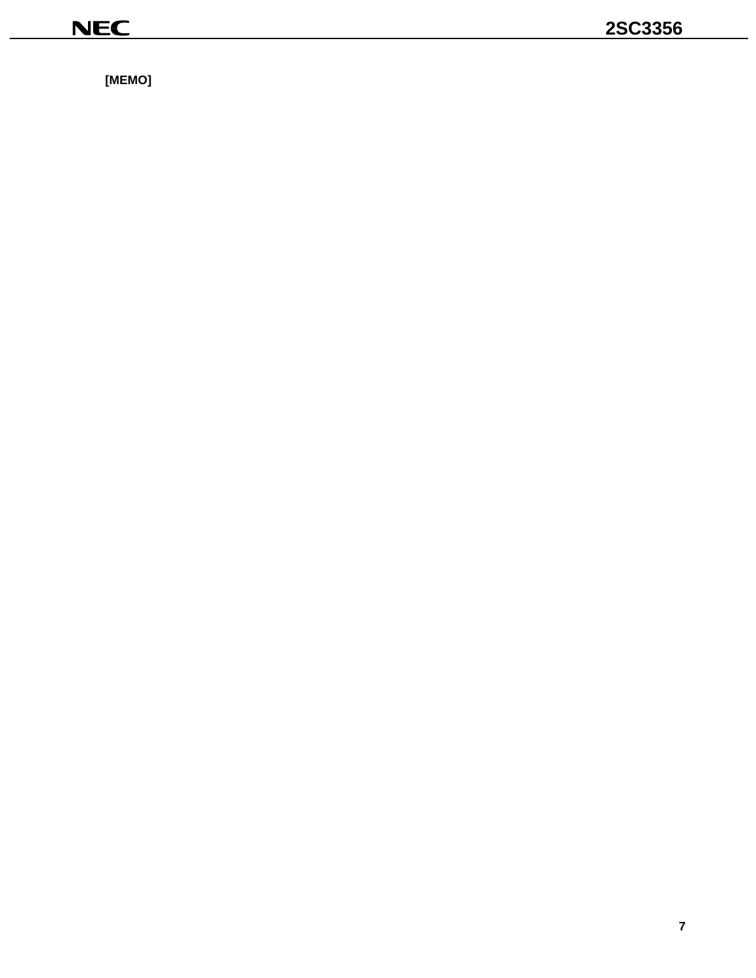$[MEMO]$